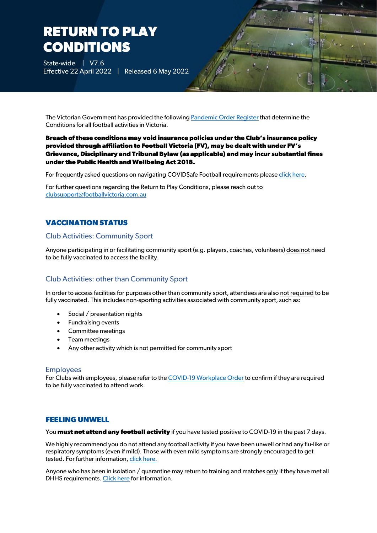# **RETURN TO PLAY CONDITIONS**

State-wide | V7.6 Effective 22 April 2022 | Released 6 May 2022

The Victorian Government has provided the followin[g Pandemic Order Register](https://www.health.vic.gov.au/covid-19/pandemic-order-register) that determine the Conditions for all football activities in Victoria.

#### **Breach of these conditions may void insurance policies under the Club's insurance policy provided through affiliation to Football Victoria (FV), may be dealt with under FV's Grievance, Disciplinary and Tribunal Bylaw (as applicable) and may incur substantial fines under the Public Health and Wellbeing Act 2018.**

For frequently asked questions on navigating COVIDSafe Football requirements pleas[e click here.](https://www.footballvictoria.com.au/covid-faq)

For further questions regarding the Return to Play Conditions, please reach out to [clubsupport@footballvictoria.com.au](mailto:clubsupport@footballvictoria.com.au)

### **VACCINATION STATUS**

#### Club Activities: Community Sport

Anyone participating in or facilitating community sport (e.g. players, coaches, volunteers) does not need to be fully vaccinated to access the facility.

#### Club Activities: other than Community Sport

In order to access facilities for purposes other than community sport, attendees are also not required to be fully vaccinated. This includes non-sporting activities associated with community sport, such as:

- Social / presentation nights
- Fundraising events
- Committee meetings
- Team meetings
- Any other activity which is not permitted for community sport

#### Employees

For Clubs with employees, please refer to th[e COVID-19 Workplace Order](https://www.health.vic.gov.au/covid-19/workplace-order) to confirm if they are required to be fully vaccinated to attend work.

#### **FEELING UNWELL**

You **must not attend any football activity** if you have tested positive to COVID-19 in the past 7 days.

We highly recommend you do not attend any football activity if you have been unwell or had any flu-like or respiratory symptoms (even if mild). Those with even mild symptoms are strongly encouraged to get tested. For further information, [click here.](https://www.coronavirus.vic.gov.au/getting-tested)

Anyone who has been in isolation / quarantine may return to training and matches only if they have met all DHHS requirements[. Click here](https://www.coronavirus.vic.gov.au/checklist) for information.